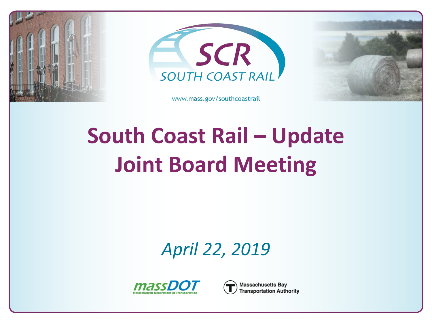



www.mass.gov/southcoastrail



# **South Coast Rail – Update Joint Board Meeting**

*April 22, 2019*



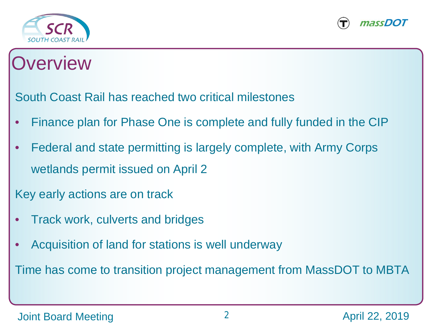



### **Overview**

South Coast Rail has reached two critical milestones

- Finance plan for Phase One is complete and fully funded in the CIP
- Federal and state permitting is largely complete, with Army Corps wetlands permit issued on April 2

Key early actions are on track

- Track work, culverts and bridges
- Acquisition of land for stations is well underway

Time has come to transition project management from MassDOT to MBTA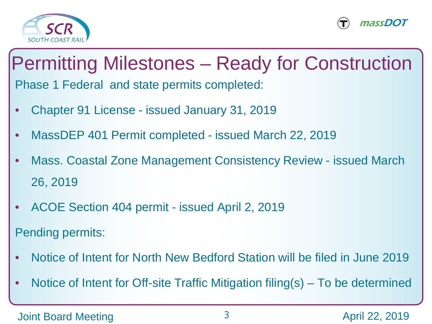



### Permitting Milestones – Ready for Construction Phase 1 Federal and state permits completed:

- Chapter 91 License issued January 31, 2019
- MassDEP 401 Permit completed issued March 22, 2019
- Mass. Coastal Zone Management Consistency Review issued March 26, 2019
- ACOE Section 404 permit issued April 2, 2019

Pending permits:

- Notice of Intent for North New Bedford Station will be filed in June 2019
- Notice of Intent for Off-site Traffic Mitigation filing(s) To be determined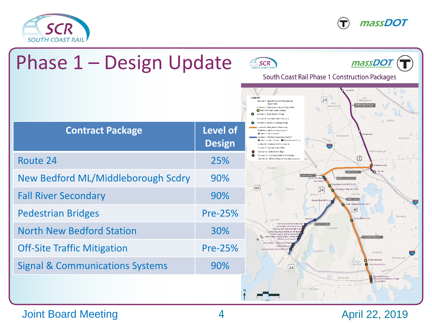





#### Joint Board Meeting 22, 2019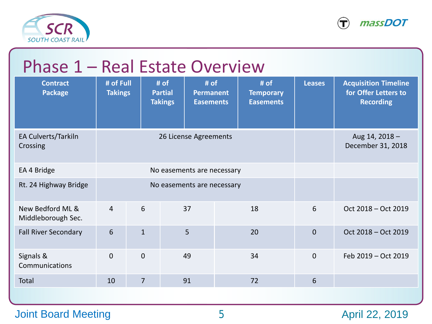



| Phase 1 - Real Estate Overview         |                             |                |                                                                                            |                                              |               |                                                                         |
|----------------------------------------|-----------------------------|----------------|--------------------------------------------------------------------------------------------|----------------------------------------------|---------------|-------------------------------------------------------------------------|
| <b>Contract</b><br><b>Package</b>      | # of Full<br><b>Takings</b> |                | # of<br>$#$ of<br><b>Partial</b><br><b>Permanent</b><br><b>Takings</b><br><b>Easements</b> | # of<br><b>Temporary</b><br><b>Easements</b> | <b>Leases</b> | <b>Acquisition Timeline</b><br>for Offer Letters to<br><b>Recording</b> |
| EA Culverts/Tarkiln<br>Crossing        |                             |                | 26 License Agreements                                                                      |                                              |               | Aug 14, 2018 -<br>December 31, 2018                                     |
| EA 4 Bridge                            |                             |                |                                                                                            |                                              |               |                                                                         |
| Rt. 24 Highway Bridge                  |                             |                | No easements are necessary                                                                 |                                              |               |                                                                         |
| New Bedford ML &<br>Middleborough Sec. | $\overline{4}$              | 6              | 37                                                                                         | 18                                           | 6             | Oct 2018 - Oct 2019                                                     |
| <b>Fall River Secondary</b>            | 6                           | $\mathbf{1}$   | 5                                                                                          | 20                                           | $\Omega$      | Oct 2018 – Oct 2019                                                     |
| Signals &<br>Communications            | $\theta$                    | $\overline{0}$ | 49                                                                                         | 34                                           | $\Omega$      | Feb 2019 - Oct 2019                                                     |
| <b>Total</b>                           | 10                          | $\overline{7}$ | 91                                                                                         | 72                                           | 6             |                                                                         |
|                                        |                             |                |                                                                                            |                                              |               |                                                                         |

#### Joint Board Meeting 5 5 April 22, 2019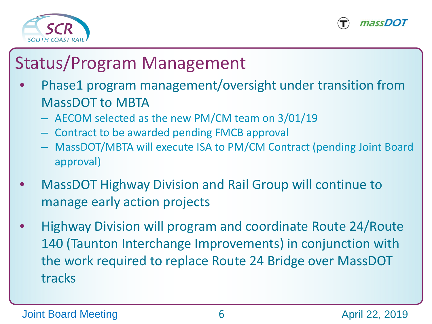



### Status/Program Management

- Phase1 program management/oversight under transition from MassDOT to MBTA
	- AECOM selected as the new PM/CM team on 3/01/19
	- Contract to be awarded pending FMCB approval
	- MassDOT/MBTA will execute ISA to PM/CM Contract (pending Joint Board approval)
- MassDOT Highway Division and Rail Group will continue to manage early action projects
- Highway Division will program and coordinate Route 24/Route 140 (Taunton Interchange Improvements) in conjunction with the work required to replace Route 24 Bridge over MassDOT tracks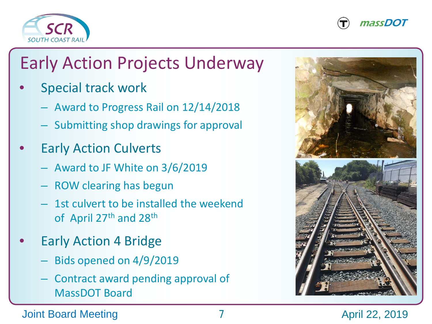



## Early Action Projects Underway

- Special track work
	- Award to Progress Rail on 12/14/2018
	- Submitting shop drawings for approval
- **Early Action Culverts** 
	- Award to JF White on 3/6/2019
	- ROW clearing has begun
	- 1st culvert to be installed the weekend of April 27th and 28th
- **Early Action 4 Bridge** 
	- Bids opened on 4/9/2019
	- Contract award pending approval of MassDOT Board



#### Joint Board Meeting 7 April 22, 2019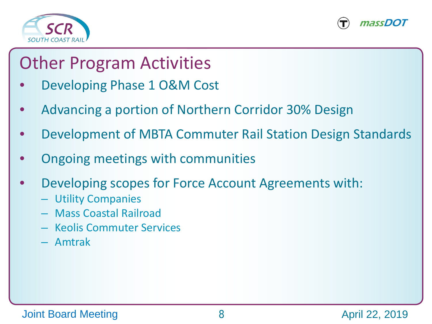



#### Other Program Activities

- Developing Phase 1 O&M Cost
- Advancing a portion of Northern Corridor 30% Design
- Development of MBTA Commuter Rail Station Design Standards
- Ongoing meetings with communities
- Developing scopes for Force Account Agreements with:
	- Utility Companies
	- Mass Coastal Railroad
	- Keolis Commuter Services
	- Amtrak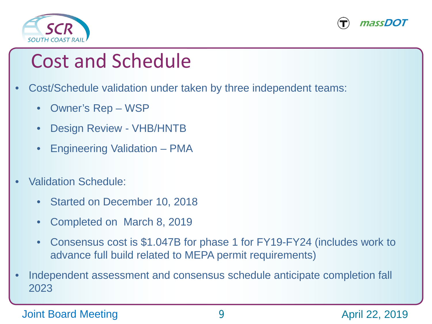



## Cost and Schedule

- Cost/Schedule validation under taken by three independent teams:
	- Owner's Rep WSP
	- Design Review VHB/HNTB
	- Engineering Validation PMA
- Validation Schedule:
	- Started on December 10, 2018
	- Completed on March 8, 2019
	- Consensus cost is \$1.047B for phase 1 for FY19-FY24 (includes work to advance full build related to MEPA permit requirements)
- Independent assessment and consensus schedule anticipate completion fall 2023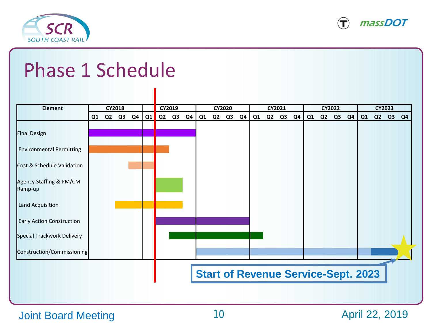



## Phase 1 Schedule

| <b>Element</b>                     | CY2018 |    |                | CY2019 |          |  | <b>CY2020</b> |                                            |                |    | CY2021 |    |                |                | <b>CY2022</b> |    |                |    | <b>CY2023</b> |    |  |       |                |
|------------------------------------|--------|----|----------------|--------|----------|--|---------------|--------------------------------------------|----------------|----|--------|----|----------------|----------------|---------------|----|----------------|----|---------------|----|--|-------|----------------|
|                                    | Q1     | Q2 | Q <sub>3</sub> | Q4     | Q1 Q2 Q3 |  | Q4            | Q1                                         | Q <sub>2</sub> | Q3 | Q4     | Q1 | Q <sub>2</sub> | Q <sub>3</sub> | Q4            | Q1 | Q <sub>2</sub> | Q3 | Q4            | Q1 |  | Q2 Q3 | Q <sub>4</sub> |
|                                    |        |    |                |        |          |  |               |                                            |                |    |        |    |                |                |               |    |                |    |               |    |  |       |                |
| <b>Final Design</b>                |        |    |                |        |          |  |               |                                            |                |    |        |    |                |                |               |    |                |    |               |    |  |       |                |
| <b>Environmental Permitting</b>    |        |    |                |        |          |  |               |                                            |                |    |        |    |                |                |               |    |                |    |               |    |  |       |                |
| Cost & Schedule Validation         |        |    |                |        |          |  |               |                                            |                |    |        |    |                |                |               |    |                |    |               |    |  |       |                |
| Agency Staffing & PM/CM<br>Ramp-up |        |    |                |        |          |  |               |                                            |                |    |        |    |                |                |               |    |                |    |               |    |  |       |                |
| Land Acquisition                   |        |    |                |        |          |  |               |                                            |                |    |        |    |                |                |               |    |                |    |               |    |  |       |                |
| Early Action Construction          |        |    |                |        |          |  |               |                                            |                |    |        |    |                |                |               |    |                |    |               |    |  |       |                |
| Special Trackwork Delivery         |        |    |                |        |          |  |               |                                            |                |    |        |    |                |                |               |    |                |    |               |    |  |       |                |
| Construction/Commissioning         |        |    |                |        |          |  |               |                                            |                |    |        |    |                |                |               |    |                |    |               |    |  |       |                |
|                                    |        |    |                |        |          |  |               |                                            |                |    |        |    |                |                |               |    |                |    |               |    |  |       |                |
|                                    |        |    |                |        |          |  |               | <b>Start of Revenue Service-Sept. 2023</b> |                |    |        |    |                |                |               |    |                |    |               |    |  |       |                |